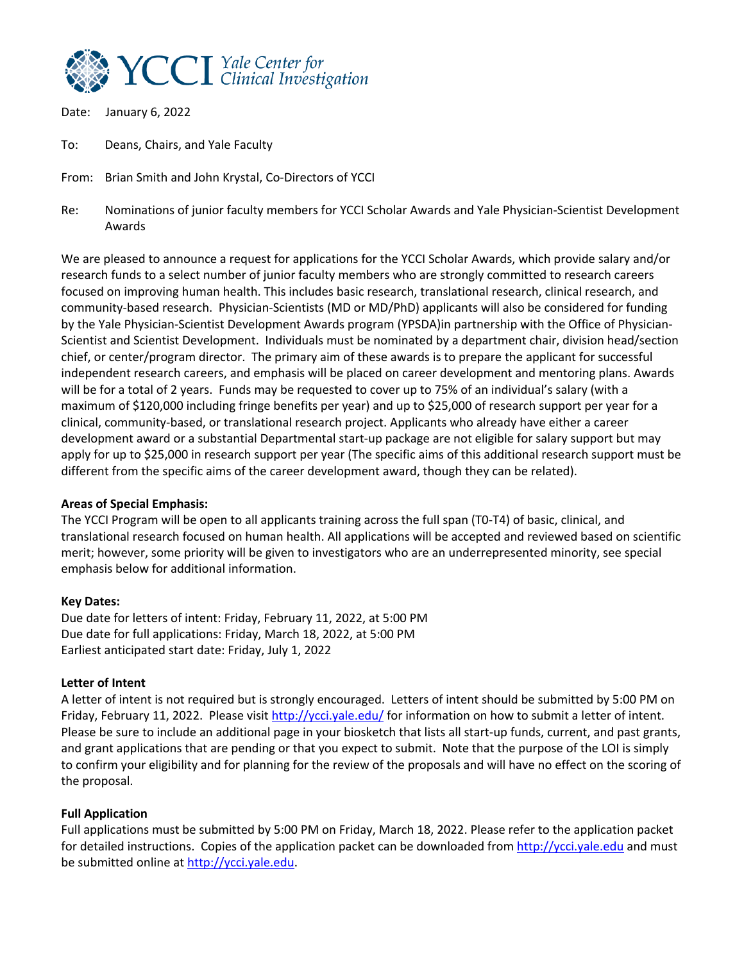

Date: January 6, 2022

To: Deans, Chairs, and Yale Faculty

From: Brian Smith and John Krystal, Co-Directors of YCCI

Re: Nominations of junior faculty members for YCCI Scholar Awards and Yale Physician-Scientist Development Awards

We are pleased to announce a request for applications for the YCCI Scholar Awards, which provide salary and/or research funds to a select number of junior faculty members who are strongly committed to research careers focused on improving human health. This includes basic research, translational research, clinical research, and community-based research. Physician-Scientists (MD or MD/PhD) applicants will also be considered for funding by the Yale Physician-Scientist Development Awards program (YPSDA)in partnership with the Office of Physician-Scientist and Scientist Development. Individuals must be nominated by a department chair, division head/section chief, or center/program director. The primary aim of these awards is to prepare the applicant for successful independent research careers, and emphasis will be placed on career development and mentoring plans. Awards will be for a total of 2 years. Funds may be requested to cover up to 75% of an individual's salary (with a maximum of \$120,000 including fringe benefits per year) and up to \$25,000 of research support per year for a clinical, community-based, or translational research project. Applicants who already have either a career development award or a substantial Departmental start-up package are not eligible for salary support but may apply for up to \$25,000 in research support per year (The specific aims of this additional research support must be different from the specific aims of the career development award, though they can be related).

### **Areas of Special Emphasis:**

The YCCI Program will be open to all applicants training across the full span (T0-T4) of basic, clinical, and translational research focused on human health. All applications will be accepted and reviewed based on scientific merit; however, some priority will be given to investigators who are an underrepresented minority, see special emphasis below for additional information.

#### **Key Dates:**

Due date for letters of intent: Friday, February 11, 2022, at 5:00 PM Due date for full applications: Friday, March 18, 2022, at 5:00 PM Earliest anticipated start date: Friday, July 1, 2022

#### **Letter of Intent**

A letter of intent is not required but is strongly encouraged. Letters of intent should be submitted by 5:00 PM on Friday, February 11, 2022. Please visit http://ycci.yale.edu/ for information on how to submit a letter of intent. Please be sure to include an additional page in your biosketch that lists all start-up funds, current, and past grants, and grant applications that are pending or that you expect to submit. Note that the purpose of the LOI is simply to confirm your eligibility and for planning for the review of the proposals and will have no effect on the scoring of the proposal.

### **Full Application**

Full applications must be submitted by 5:00 PM on Friday, March 18, 2022. Please refer to the application packet for detailed instructions. Copies of the application packet can be downloaded from http://ycci.yale.edu and must be submitted online at http://ycci.yale.edu.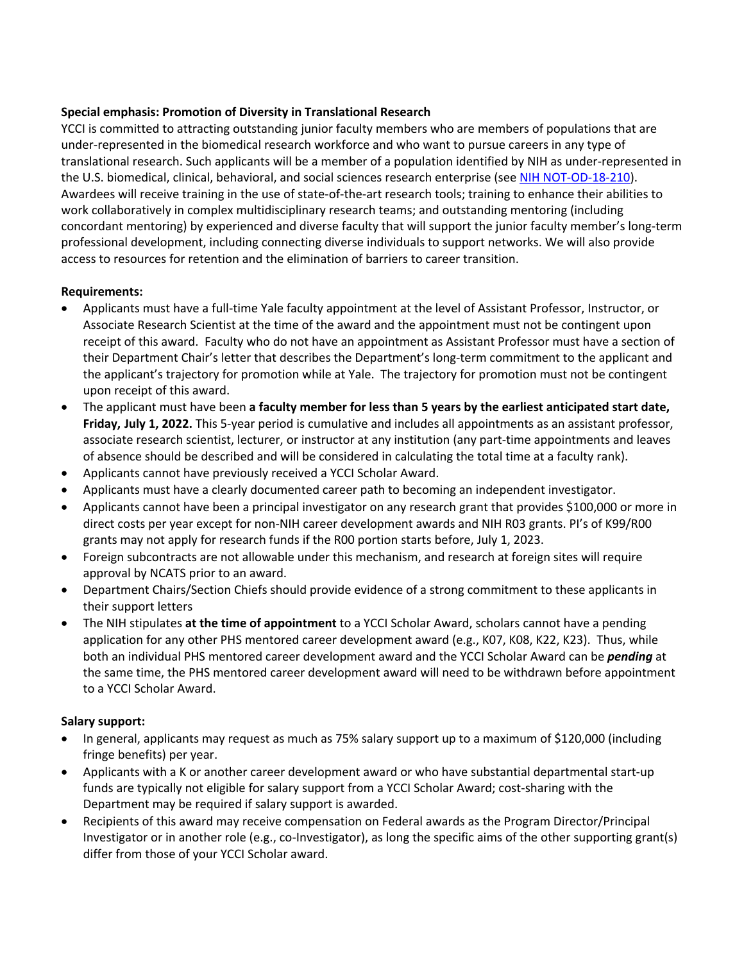## **Special emphasis: Promotion of Diversity in Translational Research**

YCCI is committed to attracting outstanding junior faculty members who are members of populations that are under-represented in the biomedical research workforce and who want to pursue careers in any type of translational research. Such applicants will be a member of a population identified by NIH as under-represented in the U.S. biomedical, clinical, behavioral, and social sciences research enterprise (see NIH NOT-OD-18-210). Awardees will receive training in the use of state-of-the-art research tools; training to enhance their abilities to work collaboratively in complex multidisciplinary research teams; and outstanding mentoring (including concordant mentoring) by experienced and diverse faculty that will support the junior faculty member's long-term professional development, including connecting diverse individuals to support networks. We will also provide access to resources for retention and the elimination of barriers to career transition.

### **Requirements:**

- Applicants must have a full-time Yale faculty appointment at the level of Assistant Professor, Instructor, or Associate Research Scientist at the time of the award and the appointment must not be contingent upon receipt of this award. Faculty who do not have an appointment as Assistant Professor must have a section of their Department Chair's letter that describes the Department's long-term commitment to the applicant and the applicant's trajectory for promotion while at Yale. The trajectory for promotion must not be contingent upon receipt of this award.
- The applicant must have been **a faculty member for less than 5 years by the earliest anticipated start date, Friday, July 1, 2022.** This 5-year period is cumulative and includes all appointments as an assistant professor, associate research scientist, lecturer, or instructor at any institution (any part-time appointments and leaves of absence should be described and will be considered in calculating the total time at a faculty rank).
- Applicants cannot have previously received a YCCI Scholar Award.
- Applicants must have a clearly documented career path to becoming an independent investigator.
- Applicants cannot have been a principal investigator on any research grant that provides \$100,000 or more in direct costs per year except for non-NIH career development awards and NIH R03 grants. PI's of K99/R00 grants may not apply for research funds if the R00 portion starts before, July 1, 2023.
- Foreign subcontracts are not allowable under this mechanism, and research at foreign sites will require approval by NCATS prior to an award.
- Department Chairs/Section Chiefs should provide evidence of a strong commitment to these applicants in their support letters
- The NIH stipulates **at the time of appointment** to a YCCI Scholar Award, scholars cannot have a pending application for any other PHS mentored career development award (e.g., K07, K08, K22, K23). Thus, while both an individual PHS mentored career development award and the YCCI Scholar Award can be *pending* at the same time, the PHS mentored career development award will need to be withdrawn before appointment to a YCCI Scholar Award.

### **Salary support:**

- In general, applicants may request as much as 75% salary support up to a maximum of \$120,000 (including fringe benefits) per year.
- Applicants with a K or another career development award or who have substantial departmental start-up funds are typically not eligible for salary support from a YCCI Scholar Award; cost-sharing with the Department may be required if salary support is awarded.
- Recipients of this award may receive compensation on Federal awards as the Program Director/Principal Investigator or in another role (e.g., co-Investigator), as long the specific aims of the other supporting grant(s) differ from those of your YCCI Scholar award.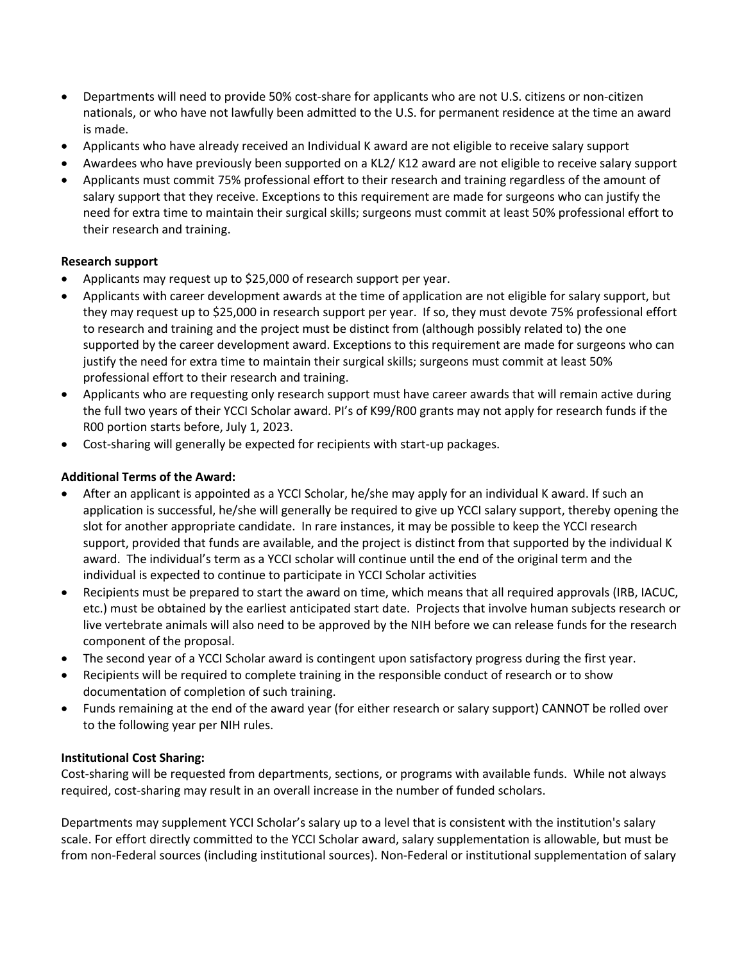- Departments will need to provide 50% cost-share for applicants who are not U.S. citizens or non-citizen nationals, or who have not lawfully been admitted to the U.S. for permanent residence at the time an award is made.
- Applicants who have already received an Individual K award are not eligible to receive salary support
- Awardees who have previously been supported on a KL2/ K12 award are not eligible to receive salary support
- Applicants must commit 75% professional effort to their research and training regardless of the amount of salary support that they receive. Exceptions to this requirement are made for surgeons who can justify the need for extra time to maintain their surgical skills; surgeons must commit at least 50% professional effort to their research and training.

### **Research support**

- Applicants may request up to \$25,000 of research support per year.
- Applicants with career development awards at the time of application are not eligible for salary support, but they may request up to \$25,000 in research support per year. If so, they must devote 75% professional effort to research and training and the project must be distinct from (although possibly related to) the one supported by the career development award. Exceptions to this requirement are made for surgeons who can justify the need for extra time to maintain their surgical skills; surgeons must commit at least 50% professional effort to their research and training.
- Applicants who are requesting only research support must have career awards that will remain active during the full two years of their YCCI Scholar award. PI's of K99/R00 grants may not apply for research funds if the R00 portion starts before, July 1, 2023.
- Cost-sharing will generally be expected for recipients with start-up packages.

# **Additional Terms of the Award:**

- After an applicant is appointed as a YCCI Scholar, he/she may apply for an individual K award. If such an application is successful, he/she will generally be required to give up YCCI salary support, thereby opening the slot for another appropriate candidate. In rare instances, it may be possible to keep the YCCI research support, provided that funds are available, and the project is distinct from that supported by the individual K award. The individual's term as a YCCI scholar will continue until the end of the original term and the individual is expected to continue to participate in YCCI Scholar activities
- Recipients must be prepared to start the award on time, which means that all required approvals (IRB, IACUC, etc.) must be obtained by the earliest anticipated start date. Projects that involve human subjects research or live vertebrate animals will also need to be approved by the NIH before we can release funds for the research component of the proposal.
- The second year of a YCCI Scholar award is contingent upon satisfactory progress during the first year.
- Recipients will be required to complete training in the responsible conduct of research or to show documentation of completion of such training.
- Funds remaining at the end of the award year (for either research or salary support) CANNOT be rolled over to the following year per NIH rules.

### **Institutional Cost Sharing:**

Cost-sharing will be requested from departments, sections, or programs with available funds. While not always required, cost-sharing may result in an overall increase in the number of funded scholars.

Departments may supplement YCCI Scholar's salary up to a level that is consistent with the institution's salary scale. For effort directly committed to the YCCI Scholar award, salary supplementation is allowable, but must be from non-Federal sources (including institutional sources). Non-Federal or institutional supplementation of salary